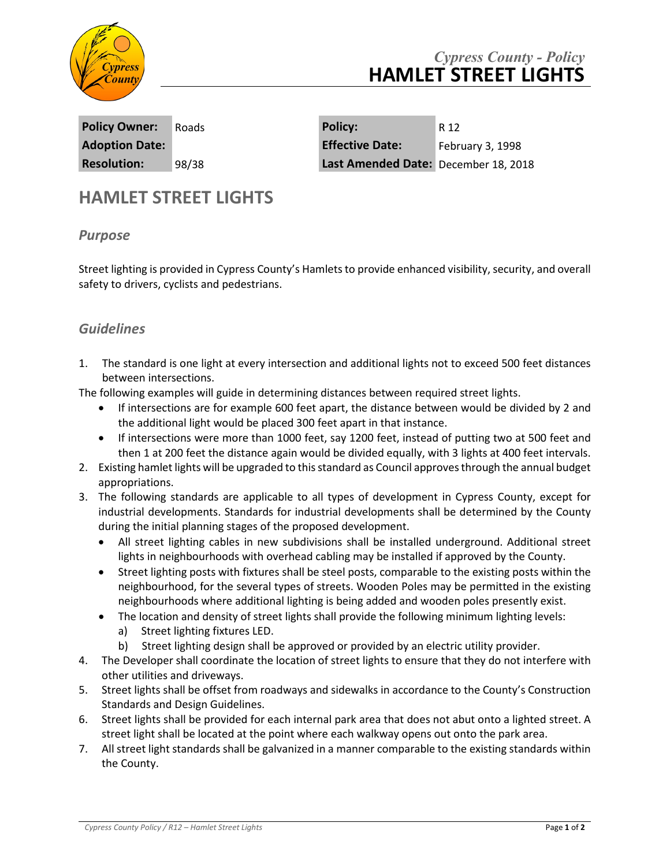

## *Cypress County - Policy* **HAMLET STREET LIGHTS**

**Policy Owner:** Roads **Policy:** R 12 **Adoption Date: Effective Date:** February 3, 1998 **Resolution:** 98/38 **Last Amended Date:** December 18, 2018

## **HAMLET STREET LIGHTS**

## *Purpose*

Street lighting is provided in Cypress County's Hamlets to provide enhanced visibility, security, and overall safety to drivers, cyclists and pedestrians.

## *Guidelines*

1. The standard is one light at every intersection and additional lights not to exceed 500 feet distances between intersections.

The following examples will guide in determining distances between required street lights.

- If intersections are for example 600 feet apart, the distance between would be divided by 2 and the additional light would be placed 300 feet apart in that instance.
- If intersections were more than 1000 feet, say 1200 feet, instead of putting two at 500 feet and then 1 at 200 feet the distance again would be divided equally, with 3 lights at 400 feet intervals.
- 2. Existing hamlet lights will be upgraded to this standard as Council approves through the annual budget appropriations.
- 3. The following standards are applicable to all types of development in Cypress County, except for industrial developments. Standards for industrial developments shall be determined by the County during the initial planning stages of the proposed development.
	- All street lighting cables in new subdivisions shall be installed underground. Additional street lights in neighbourhoods with overhead cabling may be installed if approved by the County.
	- Street lighting posts with fixtures shall be steel posts, comparable to the existing posts within the neighbourhood, for the several types of streets. Wooden Poles may be permitted in the existing neighbourhoods where additional lighting is being added and wooden poles presently exist.
	- The location and density of street lights shall provide the following minimum lighting levels:
		- a) Street lighting fixtures LED.
		- b) Street lighting design shall be approved or provided by an electric utility provider.
- 4. The Developer shall coordinate the location of street lights to ensure that they do not interfere with other utilities and driveways.
- 5. Street lights shall be offset from roadways and sidewalks in accordance to the County's Construction Standards and Design Guidelines.
- 6. Street lights shall be provided for each internal park area that does not abut onto a lighted street. A street light shall be located at the point where each walkway opens out onto the park area.
- 7. All street light standards shall be galvanized in a manner comparable to the existing standards within the County.